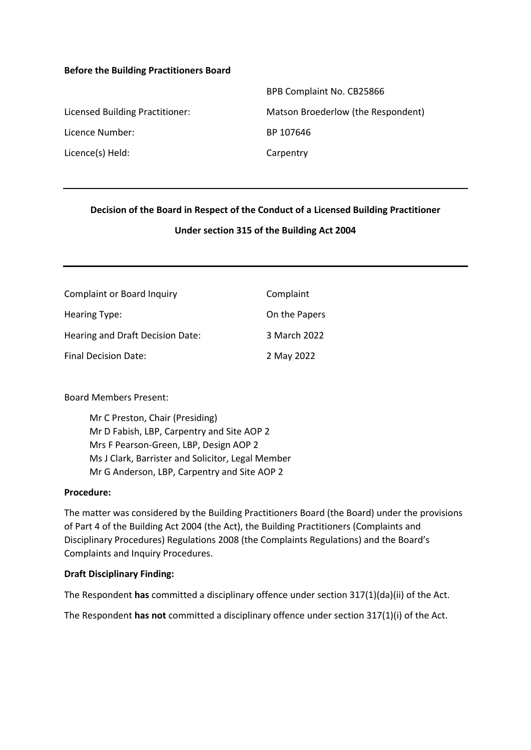#### **Before the Building Practitioners Board**

|                                 | BPB Complaint No. CB25866          |
|---------------------------------|------------------------------------|
| Licensed Building Practitioner: | Matson Broederlow (the Respondent) |
| Licence Number:                 | BP 107646                          |
| Licence(s) Held:                | Carpentry                          |

# **Decision of the Board in Respect of the Conduct of a Licensed Building Practitioner Under section 315 of the Building Act 2004**

| <b>Complaint or Board Inquiry</b> | Complaint     |
|-----------------------------------|---------------|
| Hearing Type:                     | On the Papers |
| Hearing and Draft Decision Date:  | 3 March 2022  |
| Final Decision Date:              | 2 May 2022    |

#### Board Members Present:

Mr C Preston, Chair (Presiding) Mr D Fabish, LBP, Carpentry and Site AOP 2 Mrs F Pearson-Green, LBP, Design AOP 2 Ms J Clark, Barrister and Solicitor, Legal Member Mr G Anderson, LBP, Carpentry and Site AOP 2

#### **Procedure:**

The matter was considered by the Building Practitioners Board (the Board) under the provisions of Part 4 of the Building Act 2004 (the Act), the Building Practitioners (Complaints and Disciplinary Procedures) Regulations 2008 (the Complaints Regulations) and the Board's Complaints and Inquiry Procedures.

#### **Draft Disciplinary Finding:**

The Respondent **has** committed a disciplinary offence under section 317(1)(da)(ii) of the Act.

The Respondent **has not** committed a disciplinary offence under section 317(1)(i) of the Act.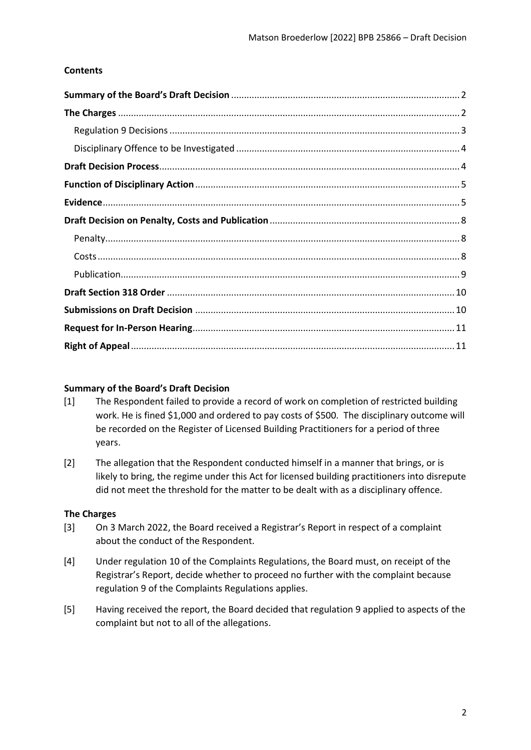## **Contents**

## <span id="page-1-0"></span>**Summary of the Board's Draft Decision**

- [1] The Respondent failed to provide a record of work on completion of restricted building work. He is fined \$1,000 and ordered to pay costs of \$500. The disciplinary outcome will be recorded on the Register of Licensed Building Practitioners for a period of three years.
- [2] The allegation that the Respondent conducted himself in a manner that brings, or is likely to bring, the regime under this Act for licensed building practitioners into disrepute did not meet the threshold for the matter to be dealt with as a disciplinary offence.

## <span id="page-1-1"></span>**The Charges**

- [3] On 3 March 2022, the Board received a Registrar's Report in respect of a complaint about the conduct of the Respondent.
- [4] Under regulation 10 of the Complaints Regulations, the Board must, on receipt of the Registrar's Report, decide whether to proceed no further with the complaint because regulation 9 of the Complaints Regulations applies.
- [5] Having received the report, the Board decided that regulation 9 applied to aspects of the complaint but not to all of the allegations.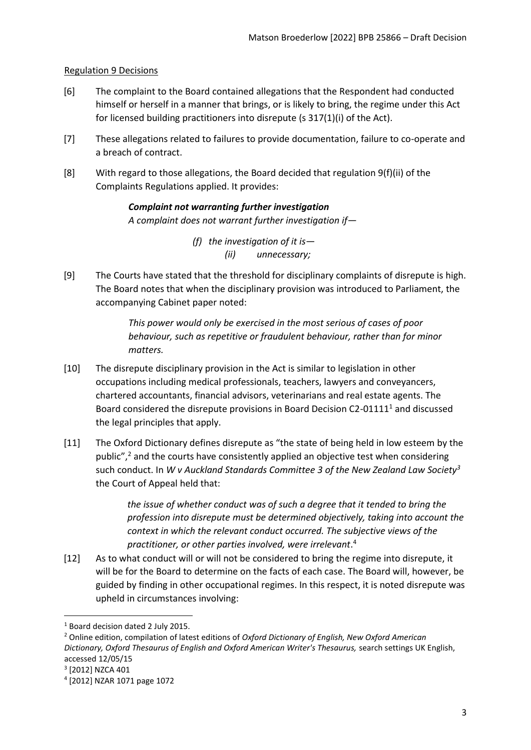#### <span id="page-2-0"></span>Regulation 9 Decisions

- [6] The complaint to the Board contained allegations that the Respondent had conducted himself or herself in a manner that brings, or is likely to bring, the regime under this Act for licensed building practitioners into disrepute (s 317(1)(i) of the Act).
- [7] These allegations related to failures to provide documentation, failure to co-operate and a breach of contract.
- [8] With regard to those allegations, the Board decided that regulation 9(f)(ii) of the Complaints Regulations applied. It provides:

# *Complaint not warranting further investigation A complaint does not warrant further investigation if—*

*(f) the investigation of it is— (ii) unnecessary;* 

[9] The Courts have stated that the threshold for disciplinary complaints of disrepute is high. The Board notes that when the disciplinary provision was introduced to Parliament, the accompanying Cabinet paper noted:

> *This power would only be exercised in the most serious of cases of poor behaviour, such as repetitive or fraudulent behaviour, rather than for minor matters.*

- [10] The disrepute disciplinary provision in the Act is similar to legislation in other occupations including medical professionals, teachers, lawyers and conveyancers, chartered accountants, financial advisors, veterinarians and real estate agents. The Board considered the disrepute provisions in Board Decision C2-01111<sup>1</sup> and discussed the legal principles that apply.
- [11] The Oxford Dictionary defines disrepute as "the state of being held in low esteem by the public", $\frac{2}{3}$  and the courts have consistently applied an objective test when considering such conduct. In *W v Auckland Standards Committee 3 of the New Zealand Law Society<sup>3</sup>* the Court of Appeal held that:

*the issue of whether conduct was of such a degree that it tended to bring the profession into disrepute must be determined objectively, taking into account the context in which the relevant conduct occurred. The subjective views of the practitioner, or other parties involved, were irrelevant*. 4

[12] As to what conduct will or will not be considered to bring the regime into disrepute, it will be for the Board to determine on the facts of each case. The Board will, however, be guided by finding in other occupational regimes. In this respect, it is noted disrepute was upheld in circumstances involving:

<sup>1</sup> Board decision dated 2 July 2015.

<sup>2</sup> Online edition, compilation of latest editions of *Oxford Dictionary of English, New Oxford American Dictionary, Oxford Thesaurus of English and Oxford American Writer's Thesaurus,* search settings UK English, accessed 12/05/15

<sup>3</sup> [2012] NZCA 401

<sup>4</sup> [2012] NZAR 1071 page 1072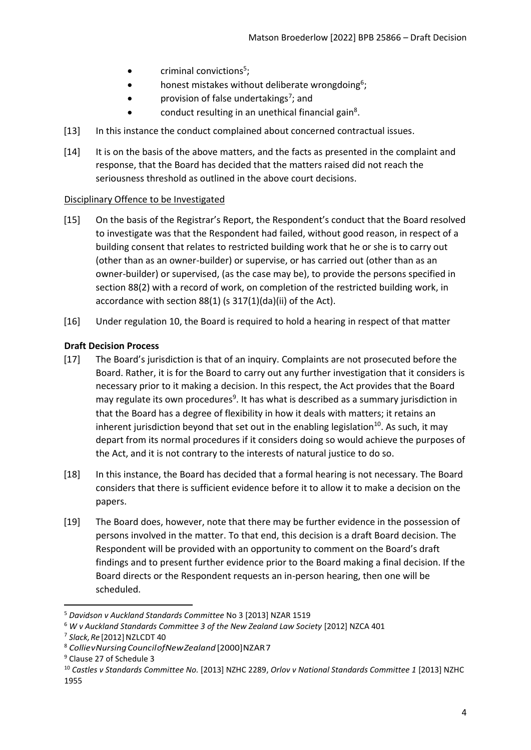- $\bullet$  criminal convictions<sup>5</sup>;
- honest mistakes without deliberate wrongdoing<sup>6</sup>;
- provision of false undertakings<sup>7</sup>; and
- conduct resulting in an unethical financial gain<sup>8</sup>.
- [13] In this instance the conduct complained about concerned contractual issues.
- [14] It is on the basis of the above matters, and the facts as presented in the complaint and response, that the Board has decided that the matters raised did not reach the seriousness threshold as outlined in the above court decisions.

# <span id="page-3-0"></span>Disciplinary Offence to be Investigated

- [15] On the basis of the Registrar's Report, the Respondent's conduct that the Board resolved to investigate was that the Respondent had failed, without good reason, in respect of a building consent that relates to restricted building work that he or she is to carry out (other than as an owner-builder) or supervise, or has carried out (other than as an owner-builder) or supervised, (as the case may be), to provide the persons specified in section 88(2) with a record of work, on completion of the restricted building work, in accordance with section 88(1) (s 317(1)(da)(ii) of the Act).
- [16] Under regulation 10, the Board is required to hold a hearing in respect of that matter

# <span id="page-3-1"></span>**Draft Decision Process**

- [17] The Board's jurisdiction is that of an inquiry. Complaints are not prosecuted before the Board. Rather, it is for the Board to carry out any further investigation that it considers is necessary prior to it making a decision. In this respect, the Act provides that the Board may regulate its own procedures<sup>9</sup>. It has what is described as a summary jurisdiction in that the Board has a degree of flexibility in how it deals with matters; it retains an inherent jurisdiction beyond that set out in the enabling legislation $10$ . As such, it may depart from its normal procedures if it considers doing so would achieve the purposes of the Act, and it is not contrary to the interests of natural justice to do so.
- [18] In this instance, the Board has decided that a formal hearing is not necessary. The Board considers that there is sufficient evidence before it to allow it to make a decision on the papers.
- [19] The Board does, however, note that there may be further evidence in the possession of persons involved in the matter. To that end, this decision is a draft Board decision. The Respondent will be provided with an opportunity to comment on the Board's draft findings and to present further evidence prior to the Board making a final decision. If the Board directs or the Respondent requests an in-person hearing, then one will be scheduled.

<sup>5</sup> *Davidson v Auckland Standards Committee* No 3 [2013] NZAR 1519

<sup>&</sup>lt;sup>6</sup> W v Auckland Standards Committee 3 of the New Zealand Law Society [2012] NZCA 401

<sup>&</sup>lt;sup>7</sup> Slack, Re [2012] NZLCDT 40

<sup>8</sup> *CollievNursingCouncilofNewZealand* [2000]NZAR7

<sup>9</sup> Clause 27 of Schedule 3

<sup>10</sup> *Castles v Standards Committee No.* [2013] NZHC 2289, *Orlov v National Standards Committee 1* [2013] NZHC 1955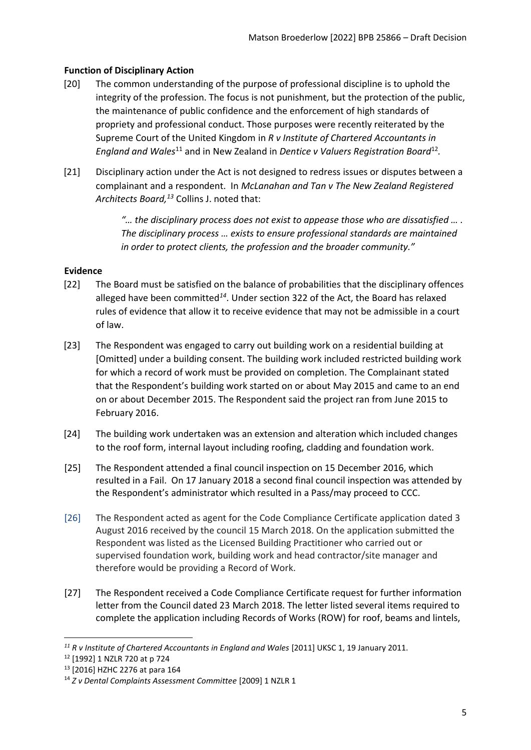# <span id="page-4-0"></span>**Function of Disciplinary Action**

- [20] The common understanding of the purpose of professional discipline is to uphold the integrity of the profession. The focus is not punishment, but the protection of the public, the maintenance of public confidence and the enforcement of high standards of propriety and professional conduct. Those purposes were recently reiterated by the Supreme Court of the United Kingdom in *R v Institute of Chartered Accountants in*  England and Wales<sup>11</sup> and in New Zealand in Dentice v Valuers Registration Board<sup>12</sup>.
- [21] Disciplinary action under the Act is not designed to redress issues or disputes between a complainant and a respondent. In *McLanahan and Tan v The New Zealand Registered Architects Board,<sup>13</sup>* Collins J. noted that:

*"… the disciplinary process does not exist to appease those who are dissatisfied … . The disciplinary process … exists to ensure professional standards are maintained in order to protect clients, the profession and the broader community."*

## <span id="page-4-1"></span>**Evidence**

- [22] The Board must be satisfied on the balance of probabilities that the disciplinary offences alleged have been committed*<sup>14</sup>*. Under section 322 of the Act, the Board has relaxed rules of evidence that allow it to receive evidence that may not be admissible in a court of law.
- [23] The Respondent was engaged to carry out building work on a residential building at [Omitted] under a building consent. The building work included restricted building work for which a record of work must be provided on completion. The Complainant stated that the Respondent's building work started on or about May 2015 and came to an end on or about December 2015. The Respondent said the project ran from June 2015 to February 2016.
- [24] The building work undertaken was an extension and alteration which included changes to the roof form, internal layout including roofing, cladding and foundation work.
- [25] The Respondent attended a final council inspection on 15 December 2016, which resulted in a Fail. On 17 January 2018 a second final council inspection was attended by the Respondent's administrator which resulted in a Pass/may proceed to CCC.
- [26] The Respondent acted as agent for the Code Compliance Certificate application dated 3 August 2016 received by the council 15 March 2018. On the application submitted the Respondent was listed as the Licensed Building Practitioner who carried out or supervised foundation work, building work and head contractor/site manager and therefore would be providing a Record of Work.
- [27] The Respondent received a Code Compliance Certificate request for further information letter from the Council dated 23 March 2018. The letter listed several items required to complete the application including Records of Works (ROW) for roof, beams and lintels,

<sup>&</sup>lt;sup>11</sup> R v Institute of Chartered Accountants in England and Wales [2011] UKSC 1, 19 January 2011.

<sup>12</sup> [1992] 1 NZLR 720 at p 724

<sup>13</sup> [2016] HZHC 2276 at para 164

<sup>14</sup> *Z v Dental Complaints Assessment Committee* [2009] 1 NZLR 1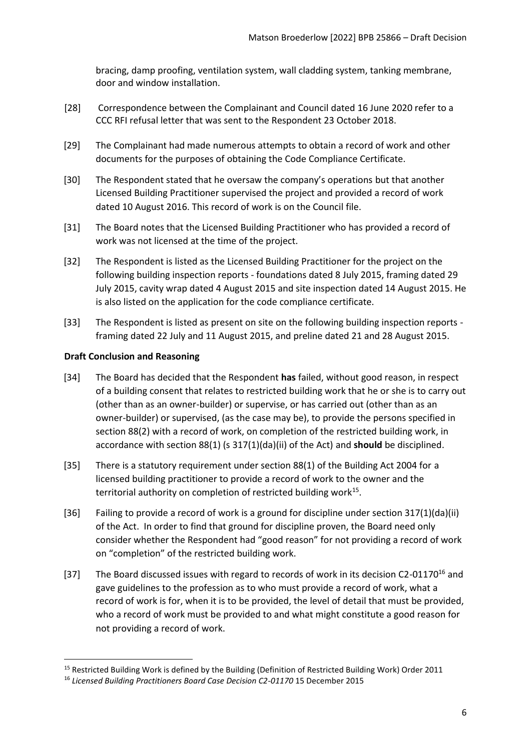bracing, damp proofing, ventilation system, wall cladding system, tanking membrane, door and window installation.

- [28] Correspondence between the Complainant and Council dated 16 June 2020 refer to a CCC RFI refusal letter that was sent to the Respondent 23 October 2018.
- [29] The Complainant had made numerous attempts to obtain a record of work and other documents for the purposes of obtaining the Code Compliance Certificate.
- [30] The Respondent stated that he oversaw the company's operations but that another Licensed Building Practitioner supervised the project and provided a record of work dated 10 August 2016. This record of work is on the Council file.
- [31] The Board notes that the Licensed Building Practitioner who has provided a record of work was not licensed at the time of the project.
- [32] The Respondent is listed as the Licensed Building Practitioner for the project on the following building inspection reports - foundations dated 8 July 2015, framing dated 29 July 2015, cavity wrap dated 4 August 2015 and site inspection dated 14 August 2015. He is also listed on the application for the code compliance certificate.
- [33] The Respondent is listed as present on site on the following building inspection reports framing dated 22 July and 11 August 2015, and preline dated 21 and 28 August 2015.

## **Draft Conclusion and Reasoning**

- [34] The Board has decided that the Respondent **has** failed, without good reason, in respect of a building consent that relates to restricted building work that he or she is to carry out (other than as an owner-builder) or supervise, or has carried out (other than as an owner-builder) or supervised, (as the case may be), to provide the persons specified in section 88(2) with a record of work, on completion of the restricted building work, in accordance with section 88(1) (s 317(1)(da)(ii) of the Act) and **should** be disciplined.
- [35] There is a statutory requirement under section 88(1) of the Building Act 2004 for a licensed building practitioner to provide a record of work to the owner and the territorial authority on completion of restricted building work<sup>15</sup>.
- [36] Failing to provide a record of work is a ground for discipline under section 317(1)(da)(ii) of the Act. In order to find that ground for discipline proven, the Board need only consider whether the Respondent had "good reason" for not providing a record of work on "completion" of the restricted building work.
- [37] The Board discussed issues with regard to records of work in its decision C2-01170<sup>16</sup> and gave guidelines to the profession as to who must provide a record of work, what a record of work is for, when it is to be provided, the level of detail that must be provided, who a record of work must be provided to and what might constitute a good reason for not providing a record of work.

<sup>15</sup> Restricted Building Work is defined by the Building (Definition of Restricted Building Work) Order 2011

<sup>&</sup>lt;sup>16</sup> Licensed Building Practitioners Board Case Decision C2-01170 15 December 2015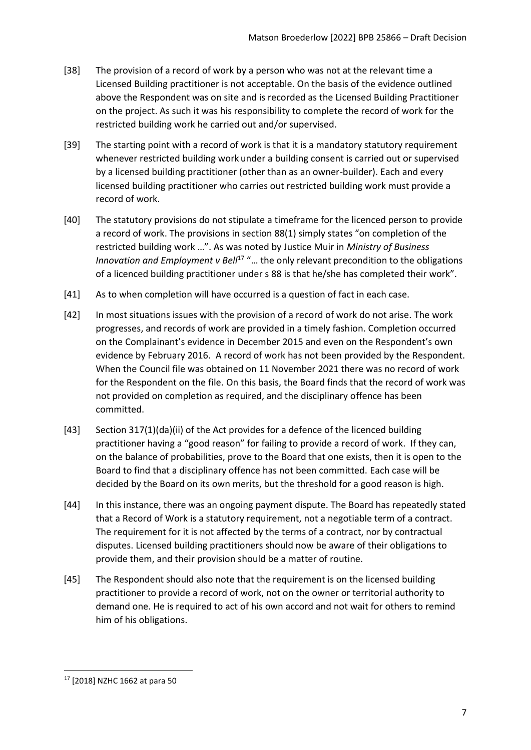- [38] The provision of a record of work by a person who was not at the relevant time a Licensed Building practitioner is not acceptable. On the basis of the evidence outlined above the Respondent was on site and is recorded as the Licensed Building Practitioner on the project. As such it was his responsibility to complete the record of work for the restricted building work he carried out and/or supervised.
- [39] The starting point with a record of work is that it is a mandatory statutory requirement whenever restricted building work under a building consent is carried out or supervised by a licensed building practitioner (other than as an owner-builder). Each and every licensed building practitioner who carries out restricted building work must provide a record of work.
- [40] The statutory provisions do not stipulate a timeframe for the licenced person to provide a record of work. The provisions in section 88(1) simply states "on completion of the restricted building work …". As was noted by Justice Muir in *Ministry of Business Innovation and Employment v Bell<sup>17</sup> "...* the only relevant precondition to the obligations of a licenced building practitioner under s 88 is that he/she has completed their work".
- [41] As to when completion will have occurred is a question of fact in each case.
- [42] In most situations issues with the provision of a record of work do not arise. The work progresses, and records of work are provided in a timely fashion. Completion occurred on the Complainant's evidence in December 2015 and even on the Respondent's own evidence by February 2016. A record of work has not been provided by the Respondent. When the Council file was obtained on 11 November 2021 there was no record of work for the Respondent on the file. On this basis, the Board finds that the record of work was not provided on completion as required, and the disciplinary offence has been committed.
- [43] Section 317(1)(da)(ii) of the Act provides for a defence of the licenced building practitioner having a "good reason" for failing to provide a record of work. If they can, on the balance of probabilities, prove to the Board that one exists, then it is open to the Board to find that a disciplinary offence has not been committed. Each case will be decided by the Board on its own merits, but the threshold for a good reason is high.
- [44] In this instance, there was an ongoing payment dispute. The Board has repeatedly stated that a Record of Work is a statutory requirement, not a negotiable term of a contract. The requirement for it is not affected by the terms of a contract, nor by contractual disputes. Licensed building practitioners should now be aware of their obligations to provide them, and their provision should be a matter of routine.
- [45] The Respondent should also note that the requirement is on the licensed building practitioner to provide a record of work, not on the owner or territorial authority to demand one. He is required to act of his own accord and not wait for others to remind him of his obligations.

<sup>17</sup> [2018] NZHC 1662 at para 50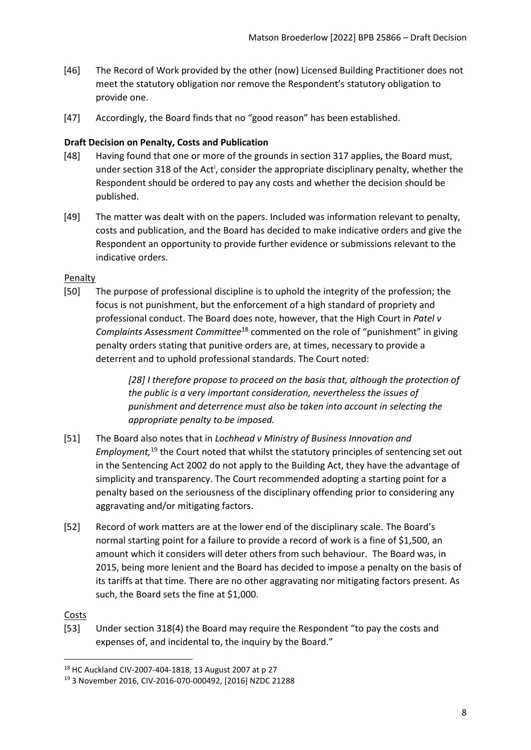- [46] The Record of Work provided by the other (now) Licensed Building Practitioner does not meet the statutory obligation nor remove the Respondent's statutory obligation to provide one.
- [47] Accordingly, the Board finds that no "good reason" has been established.

## <span id="page-7-0"></span>**Draft Decision on Penalty, Costs and Publication**

- [48] Having found that one or more of the grounds in section 317 applies, the Board must, under section 318 of the Act<sup>i</sup>, consider the appropriate disciplinary penalty, whether the Respondent should be ordered to pay any costs and whether the decision should be published.
- [49] The matter was dealt with on the papers. Included was information relevant to penalty, costs and publication, and the Board has decided to make indicative orders and give the Respondent an opportunity to provide further evidence or submissions relevant to the indicative orders.

## <span id="page-7-1"></span>Penalty

[50] The purpose of professional discipline is to uphold the integrity of the profession; the focus is not punishment, but the enforcement of a high standard of propriety and professional conduct. The Board does note, however, that the High Court in *Patel v Complaints Assessment Committee*<sup>18</sup> commented on the role of "punishment" in giving penalty orders stating that punitive orders are, at times, necessary to provide a deterrent and to uphold professional standards. The Court noted:

> *[28] I therefore propose to proceed on the basis that, although the protection of the public is a very important consideration, nevertheless the issues of punishment and deterrence must also be taken into account in selecting the appropriate penalty to be imposed.*

- [51] The Board also notes that in *Lochhead v Ministry of Business Innovation and Employment,*<sup>19</sup> the Court noted that whilst the statutory principles of sentencing set out in the Sentencing Act 2002 do not apply to the Building Act, they have the advantage of simplicity and transparency. The Court recommended adopting a starting point for a penalty based on the seriousness of the disciplinary offending prior to considering any aggravating and/or mitigating factors.
- [52] Record of work matters are at the lower end of the disciplinary scale. The Board's normal starting point for a failure to provide a record of work is a fine of \$1,500, an amount which it considers will deter others from such behaviour. The Board was, in 2015, being more lenient and the Board has decided to impose a penalty on the basis of its tariffs at that time. There are no other aggravating nor mitigating factors present. As such, the Board sets the fine at \$1,000.

## <span id="page-7-2"></span>Costs

[53] Under section 318(4) the Board may require the Respondent "to pay the costs and expenses of, and incidental to, the inquiry by the Board."

<sup>18</sup> HC Auckland CIV-2007-404-1818, 13 August 2007 at p 27

<sup>19</sup> 3 November 2016, CIV-2016-070-000492, [2016] NZDC 21288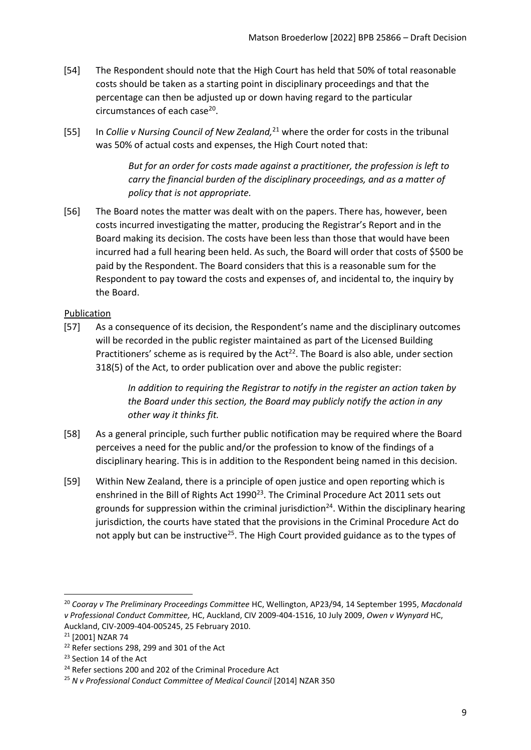- [54] The Respondent should note that the High Court has held that 50% of total reasonable costs should be taken as a starting point in disciplinary proceedings and that the percentage can then be adjusted up or down having regard to the particular circumstances of each case<sup>20</sup>.
- [55] In *Collie v Nursing Council of New Zealand,*<sup>21</sup> where the order for costs in the tribunal was 50% of actual costs and expenses, the High Court noted that:

*But for an order for costs made against a practitioner, the profession is left to carry the financial burden of the disciplinary proceedings, and as a matter of policy that is not appropriate.*

[56] The Board notes the matter was dealt with on the papers. There has, however, been costs incurred investigating the matter, producing the Registrar's Report and in the Board making its decision. The costs have been less than those that would have been incurred had a full hearing been held. As such, the Board will order that costs of \$500 be paid by the Respondent. The Board considers that this is a reasonable sum for the Respondent to pay toward the costs and expenses of, and incidental to, the inquiry by the Board.

# <span id="page-8-0"></span>Publication

[57] As a consequence of its decision, the Respondent's name and the disciplinary outcomes will be recorded in the public register maintained as part of the Licensed Building Practitioners' scheme as is required by the Act<sup>22</sup>. The Board is also able, under section 318(5) of the Act, to order publication over and above the public register:

> *In addition to requiring the Registrar to notify in the register an action taken by the Board under this section, the Board may publicly notify the action in any other way it thinks fit.*

- [58] As a general principle, such further public notification may be required where the Board perceives a need for the public and/or the profession to know of the findings of a disciplinary hearing. This is in addition to the Respondent being named in this decision.
- [59] Within New Zealand, there is a principle of open justice and open reporting which is enshrined in the Bill of Rights Act  $1990^{23}$ . The Criminal Procedure Act 2011 sets out grounds for suppression within the criminal jurisdiction<sup>24</sup>. Within the disciplinary hearing jurisdiction, the courts have stated that the provisions in the Criminal Procedure Act do not apply but can be instructive<sup>25</sup>. The High Court provided guidance as to the types of

<sup>20</sup> *Cooray v The Preliminary Proceedings Committee* HC, Wellington, AP23/94, 14 September 1995, *Macdonald v Professional Conduct Committee,* HC, Auckland, CIV 2009-404-1516, 10 July 2009, *Owen v Wynyard* HC, Auckland, CIV-2009-404-005245, 25 February 2010.

<sup>21</sup> [2001] NZAR 74

<sup>&</sup>lt;sup>22</sup> Refer sections 298, 299 and 301 of the Act

<sup>&</sup>lt;sup>23</sup> Section 14 of the Act

<sup>&</sup>lt;sup>24</sup> Refer sections 200 and 202 of the Criminal Procedure Act

<sup>25</sup> *N v Professional Conduct Committee of Medical Council* [2014] NZAR 350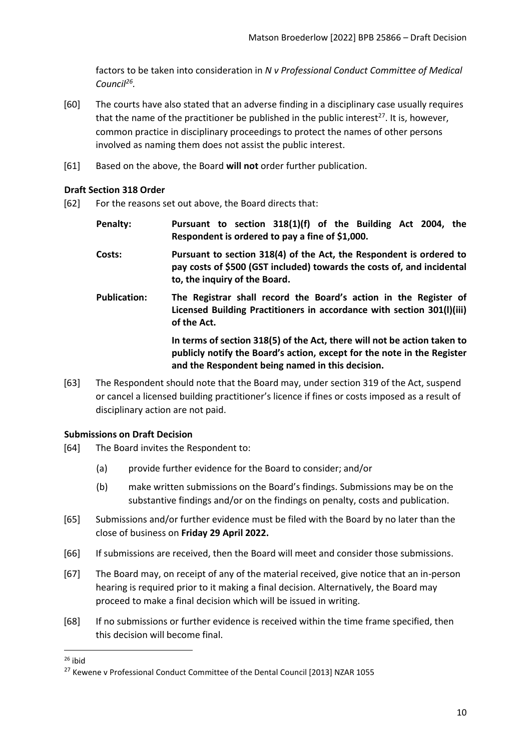factors to be taken into consideration in *N v Professional Conduct Committee of Medical Council<sup>26</sup> .* 

- [60] The courts have also stated that an adverse finding in a disciplinary case usually requires that the name of the practitioner be published in the public interest<sup>27</sup>. It is, however, common practice in disciplinary proceedings to protect the names of other persons involved as naming them does not assist the public interest.
- [61] Based on the above, the Board **will not** order further publication.

#### <span id="page-9-0"></span>**Draft Section 318 Order**

- [62] For the reasons set out above, the Board directs that:
	- **Penalty: Pursuant to section 318(1)(f) of the Building Act 2004, the Respondent is ordered to pay a fine of \$1,000.**
	- **Costs: Pursuant to section 318(4) of the Act, the Respondent is ordered to pay costs of \$500 (GST included) towards the costs of, and incidental to, the inquiry of the Board.**
	- **Publication: The Registrar shall record the Board's action in the Register of Licensed Building Practitioners in accordance with section 301(l)(iii) of the Act.**

**In terms of section 318(5) of the Act, there will not be action taken to publicly notify the Board's action, except for the note in the Register and the Respondent being named in this decision.**

[63] The Respondent should note that the Board may, under section 319 of the Act, suspend or cancel a licensed building practitioner's licence if fines or costs imposed as a result of disciplinary action are not paid.

#### <span id="page-9-1"></span>**Submissions on Draft Decision**

- [64] The Board invites the Respondent to:
	- (a) provide further evidence for the Board to consider; and/or
	- (b) make written submissions on the Board's findings. Submissions may be on the substantive findings and/or on the findings on penalty, costs and publication.
- [65] Submissions and/or further evidence must be filed with the Board by no later than the close of business on **Friday 29 April 2022.**
- [66] If submissions are received, then the Board will meet and consider those submissions.
- [67] The Board may, on receipt of any of the material received, give notice that an in-person hearing is required prior to it making a final decision. Alternatively, the Board may proceed to make a final decision which will be issued in writing.
- [68] If no submissions or further evidence is received within the time frame specified, then this decision will become final.

 $26$  ibid

<sup>&</sup>lt;sup>27</sup> Kewene v Professional Conduct Committee of the Dental Council [2013] NZAR 1055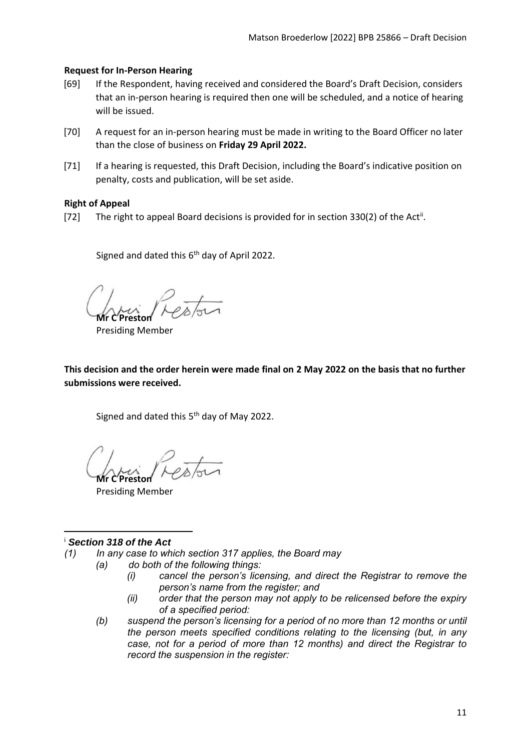#### <span id="page-10-0"></span>**Request for In-Person Hearing**

- [69] If the Respondent, having received and considered the Board's Draft Decision, considers that an in-person hearing is required then one will be scheduled, and a notice of hearing will be issued.
- [70] A request for an in-person hearing must be made in writing to the Board Officer no later than the close of business on **Friday 29 April 2022.**
- [71] If a hearing is requested, this Draft Decision, including the Board's indicative position on penalty, costs and publication, will be set aside.

#### <span id="page-10-1"></span>**Right of Appeal**

[72] The right to appeal Board decisions is provided for in section 330(2) of the Act<sup>ii</sup>.

Signed and dated this  $6<sup>th</sup>$  day of April 2022.

**Mr C Preston**

Presiding Member

**This decision and the order herein were made final on 2 May 2022 on the basis that no further submissions were received.**

Signed and dated this 5<sup>th</sup> day of May 2022.

**Mr C Preston**

Presiding Member

## <sup>i</sup> *Section 318 of the Act*

- *(1) In any case to which section 317 applies, the Board may*
	- *(a) do both of the following things:*
		- *(i) cancel the person's licensing, and direct the Registrar to remove the person's name from the register; and*
		- *(ii) order that the person may not apply to be relicensed before the expiry of a specified period:*
		- *(b) suspend the person's licensing for a period of no more than 12 months or until the person meets specified conditions relating to the licensing (but, in any case, not for a period of more than 12 months) and direct the Registrar to record the suspension in the register:*